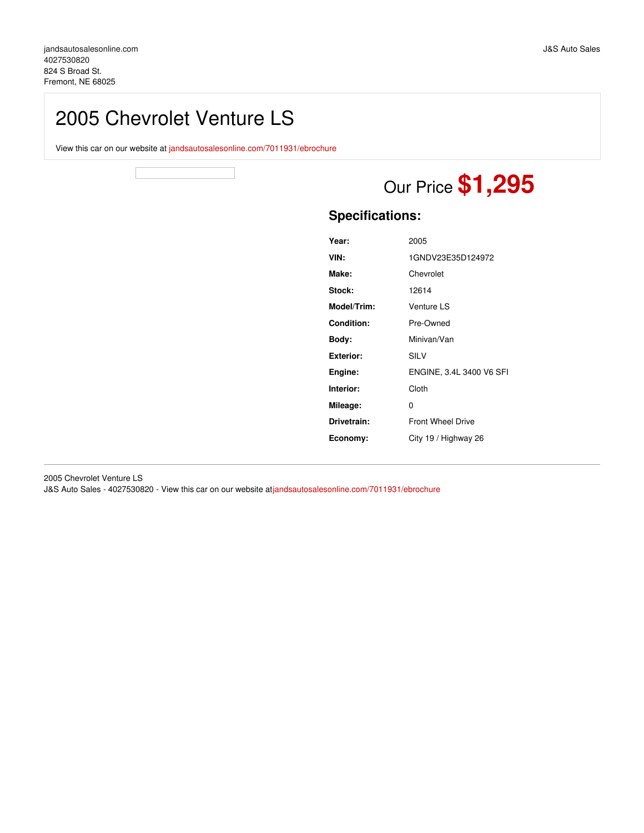## 2005 Chevrolet Venture LS

View this car on our website at [jandsautosalesonline.com/7011931/ebrochure](https://jandsautosalesonline.com/vehicle/7011931/2005-chevrolet-venture-ls-fremont-ne-68025/7011931/ebrochure)



# Our Price **\$1,295**

## **Specifications:**

| Year:            | 2005                     |
|------------------|--------------------------|
| VIN:             | 1GNDV23E35D124972        |
| Make:            | Chevrolet                |
| Stock:           | 12614                    |
| Model/Trim:      | Venture LS               |
| Condition:       | Pre-Owned                |
| Body:            | Minivan/Van              |
| <b>Exterior:</b> | SILV                     |
| Engine:          | ENGINE, 3.4L 3400 V6 SFI |
| Interior:        | Cloth                    |
| Mileage:         | 0                        |
| Drivetrain:      | <b>Front Wheel Drive</b> |
| Economy:         | City 19 / Highway 26     |

2005 Chevrolet Venture LS J&S Auto Sales - 4027530820 - View this car on our website at[jandsautosalesonline.com/7011931/ebrochure](https://jandsautosalesonline.com/vehicle/7011931/2005-chevrolet-venture-ls-fremont-ne-68025/7011931/ebrochure)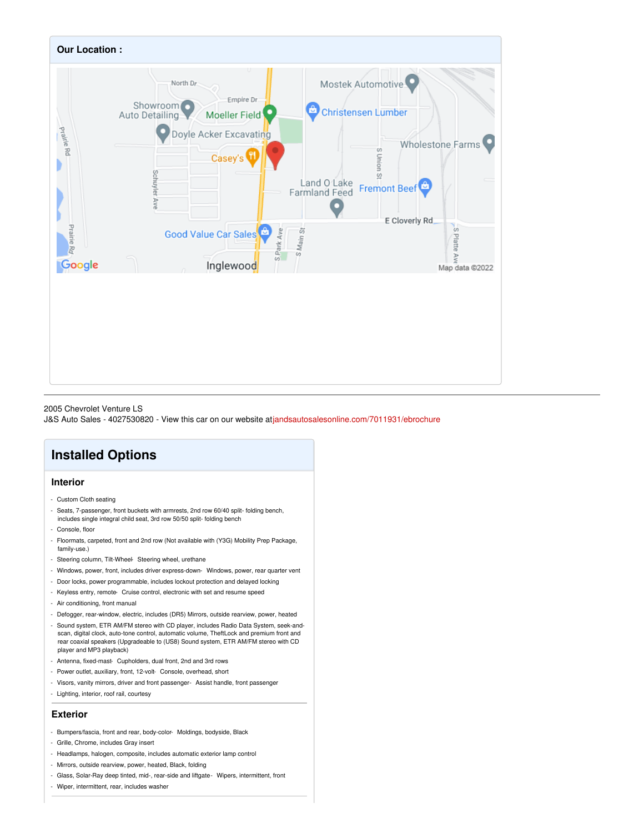

#### 2005 Chevrolet Venture LS

J&S Auto Sales - 4027530820 - View this car on our website at[jandsautosalesonline.com/7011931/ebrochure](https://jandsautosalesonline.com/vehicle/7011931/2005-chevrolet-venture-ls-fremont-ne-68025/7011931/ebrochure)

## **Installed Options**

#### **Interior**

- Custom Cloth seating
- Seats, 7-passenger, front buckets with armrests, 2nd row 60/40 split- folding bench, includes single integral child seat, 3rd row 50/50 split- folding bench
- Console, floor
- Floormats, carpeted, front and 2nd row (Not available with (Y3G) Mobility Prep Package, family-use.)
- Steering column, Tilt-Wheel- Steering wheel, urethane
- Windows, power, front, includes driver express-down- Windows, power, rear quarter vent
- Door locks, power programmable, includes lockout protection and delayed locking
- Keyless entry, remote- Cruise control, electronic with set and resume speed
- Air conditioning, front manual
- Defogger, rear-window, electric, includes (DR5) Mirrors, outside rearview, power, heated
- Sound system, ETR AM/FM stereo with CD player, includes Radio Data System, seek-andscan, digital clock, auto-tone control, automatic volume, TheftLock and premium front and rear coaxial speakers (Upgradeable to (US8) Sound system, ETR AM/FM stereo with CD player and MP3 playback)
- Antenna, fixed-mast- Cupholders, dual front, 2nd and 3rd rows
- Power outlet, auxiliary, front, 12-volt- Console, overhead, short
- Visors, vanity mirrors, driver and front passenger- Assist handle, front passenger
- Lighting, interior, roof rail, courtesy

#### **Exterior**

- Bumpers/fascia, front and rear, body-color- Moldings, bodyside, Black
- Grille, Chrome, includes Gray insert
- Headlamps, halogen, composite, includes automatic exterior lamp control
- Mirrors, outside rearview, power, heated, Black, folding
- Glass, Solar-Ray deep tinted, mid-, rear-side and liftgate- Wipers, intermittent, front
- Wiper, intermittent, rear, includes washer